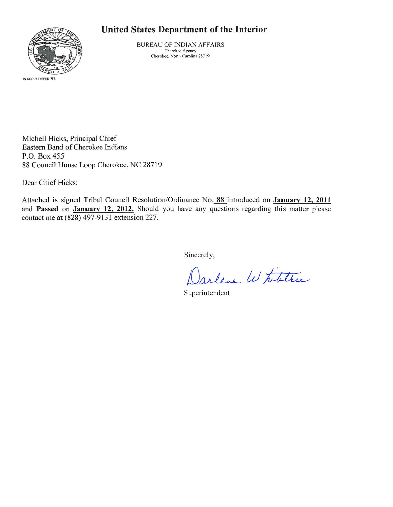## **United States Department** of the **Interior**



BUREAU OF INDIAN AFFAIRS **Cherokee Agency Cherokee, North Carolina 28719** 

Michell Hicks, Principal Chief Eastern Band of Cherokee Indians P.O. Box 455 88 Council House Loop Cherokee, NC 287 19

Dear Chief Hicks:

 $\chi$ 

Attached is signed Tribal Council Resolution/Ordinance No. 88 introduced on January 12, 2011 and **Passed on January 12, 2012.** Should you have any questions regarding this matter please contact me at (828) 497-9131 extension 227.

Sincerely,

arlene Whiteher

Superintendent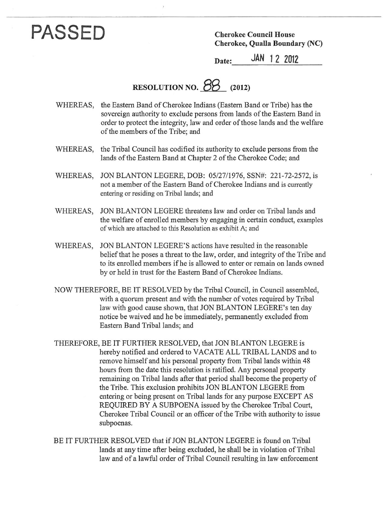## PASSED Cherokee Council House

Cherokee, Qualla Boundary (NC)

Date: JAN 12 2012

## RESOLUTION NO.  $88$  (2012)

- WHEREAS, the Eastern Band of Cherokee Indians (Eastern Band or Tribe) has the sovereign authority to exclude persons from lands of the Eastern Band in order to protect the integrity, law and order of those lands and the welfare of the members of the Tribe; and
- WHEREAS, the Tribal Council has codified its authority to exclude persons from the lands of the Eastern Band at Chapter 2 of the Cherokee Code; and
- WHEREAS, JON BLANTON LEGERE, DOB: 05/2711976, SSN#: 221-72-2572, is not a member of the Eastern Band of Cherokee Indians and is currently entering or residing on Tribal lands; and
- WHEREAS, JON BLANTON LEGERE threatens law and order on Tribal lands and the welfare of enrolled members by engaging in certain conduct, examples of which are attached to this Resolution as exhibit A; and
- WHEREAS, JON BLANTON LEGERE'S actions have resulted in the reasonable belief that he poses a threat to the law, order, and integrity of the Tribe and to its enrolled members ifhe is allowed to enter or remain on lands owned by or held in trust for the Eastern Band of Cherokee Indians.
- NOW THEREFORE, BE IT RESOLVED by the Tribal Council, in Council assembled, with a quorum present and with the number of votes required by Tribal law with good cause shown, that JON BLANTON LEGERE's ten day notice be waived and he be immediately, permanently excluded from Eastern Band Tribal lands; and
- THEREFORE, BE IT FURTHER RESOLVED, that JON BLANTON LEGERE is hereby notified and ordered to VACATE ALL TRIBAL LANDS and to remove himself and his personal property from Tribal lands within 48 hours from the date this resolution is ratified. Any personal property remaining on Tribal lands after that period shall become the property of the Tribe. This exclusion prohibits JON BLANTON LEGERE from entering or being present on Tribal lands for any purpose EXCEPT AS REQUIRED BY A SUBPOENA issued by the Cherokee Tribal Court, Cherokee Tribal Council or an officer of the Tribe with authority to issue subpoenas.
- BE IT FURTHER RESOLVED that if JON BLANTON LEGERE is found on Tribal lands at any time after being excluded, he shall be in violation of Tribal law and of a lawful order of Tribal Council resulting in law enforcement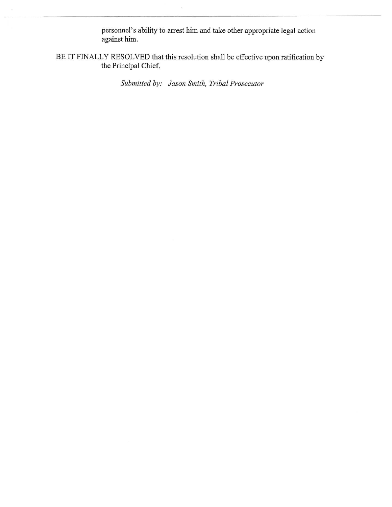personnel's ability to arrest him and take other appropriate legal action against him.

BE IT FINALLY RESOLVED that this resolution shall be effective upon ratification by the Principal Chief.

*Submitted by: Jason Smith, Tribal Prosecutor*